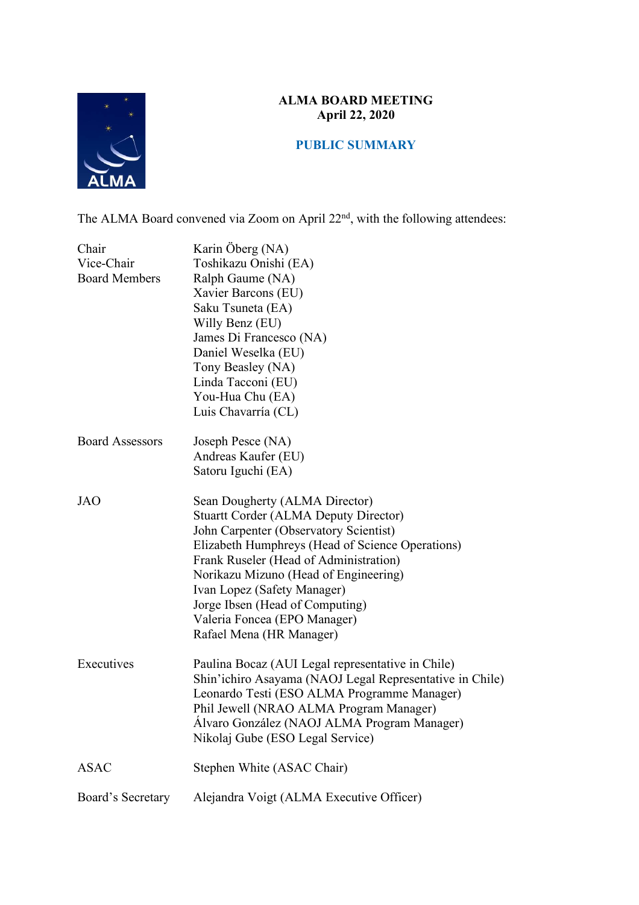### **ALMA BOARD MEETING April 22, 2020**



# **PUBLIC SUMMARY**

The ALMA Board convened via Zoom on April 22<sup>nd</sup>, with the following attendees:

| Chair<br>Vice-Chair<br><b>Board Members</b> | Karin Öberg (NA)<br>Toshikazu Onishi (EA)<br>Ralph Gaume (NA)<br>Xavier Barcons (EU)<br>Saku Tsuneta (EA)<br>Willy Benz (EU)<br>James Di Francesco (NA)<br>Daniel Weselka (EU)<br>Tony Beasley (NA)<br>Linda Tacconi (EU)<br>You-Hua Chu (EA)<br>Luis Chavarría (CL)                                                                                                                          |
|---------------------------------------------|-----------------------------------------------------------------------------------------------------------------------------------------------------------------------------------------------------------------------------------------------------------------------------------------------------------------------------------------------------------------------------------------------|
| <b>Board Assessors</b>                      | Joseph Pesce (NA)<br>Andreas Kaufer (EU)<br>Satoru Iguchi (EA)                                                                                                                                                                                                                                                                                                                                |
| <b>JAO</b>                                  | Sean Dougherty (ALMA Director)<br><b>Stuartt Corder (ALMA Deputy Director)</b><br>John Carpenter (Observatory Scientist)<br>Elizabeth Humphreys (Head of Science Operations)<br>Frank Ruseler (Head of Administration)<br>Norikazu Mizuno (Head of Engineering)<br>Ivan Lopez (Safety Manager)<br>Jorge Ibsen (Head of Computing)<br>Valeria Foncea (EPO Manager)<br>Rafael Mena (HR Manager) |
| Executives                                  | Paulina Bocaz (AUI Legal representative in Chile)<br>Shin'ichiro Asayama (NAOJ Legal Representative in Chile)<br>Leonardo Testi (ESO ALMA Programme Manager)<br>Phil Jewell (NRAO ALMA Program Manager)<br>Álvaro González (NAOJ ALMA Program Manager)<br>Nikolaj Gube (ESO Legal Service)                                                                                                    |
| <b>ASAC</b>                                 | Stephen White (ASAC Chair)                                                                                                                                                                                                                                                                                                                                                                    |
| Board's Secretary                           | Alejandra Voigt (ALMA Executive Officer)                                                                                                                                                                                                                                                                                                                                                      |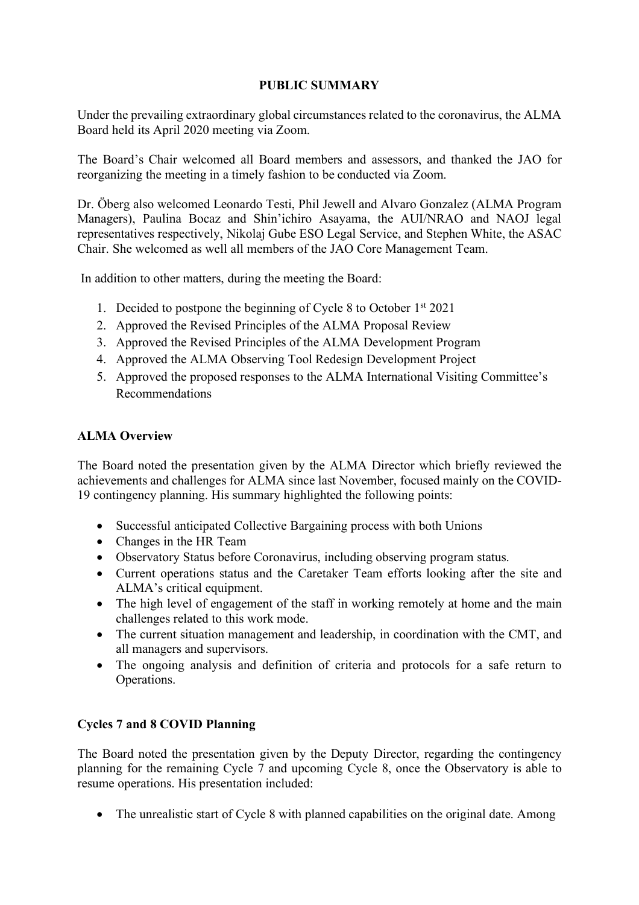## **PUBLIC SUMMARY**

Under the prevailing extraordinary global circumstances related to the coronavirus, the ALMA Board held its April 2020 meeting via Zoom.

The Board's Chair welcomed all Board members and assessors, and thanked the JAO for reorganizing the meeting in a timely fashion to be conducted via Zoom.

Dr. Öberg also welcomed Leonardo Testi, Phil Jewell and Alvaro Gonzalez (ALMA Program Managers), Paulina Bocaz and Shin'ichiro Asayama, the AUI/NRAO and NAOJ legal representatives respectively, Nikolaj Gube ESO Legal Service, and Stephen White, the ASAC Chair. She welcomed as well all members of the JAO Core Management Team.

In addition to other matters, during the meeting the Board:

- 1. Decided to postpone the beginning of Cycle 8 to October 1st 2021
- 2. Approved the Revised Principles of the ALMA Proposal Review
- 3. Approved the Revised Principles of the ALMA Development Program
- 4. Approved the ALMA Observing Tool Redesign Development Project
- 5. Approved the proposed responses to the ALMA International Visiting Committee's Recommendations

### **ALMA Overview**

The Board noted the presentation given by the ALMA Director which briefly reviewed the achievements and challenges for ALMA since last November, focused mainly on the COVID-19 contingency planning. His summary highlighted the following points:

- Successful anticipated Collective Bargaining process with both Unions
- Changes in the HR Team
- Observatory Status before Coronavirus, including observing program status.
- Current operations status and the Caretaker Team efforts looking after the site and ALMA's critical equipment.
- The high level of engagement of the staff in working remotely at home and the main challenges related to this work mode.
- The current situation management and leadership, in coordination with the CMT, and all managers and supervisors.
- The ongoing analysis and definition of criteria and protocols for a safe return to Operations.

#### **Cycles 7 and 8 COVID Planning**

The Board noted the presentation given by the Deputy Director, regarding the contingency planning for the remaining Cycle 7 and upcoming Cycle 8, once the Observatory is able to resume operations. His presentation included:

• The unrealistic start of Cycle 8 with planned capabilities on the original date. Among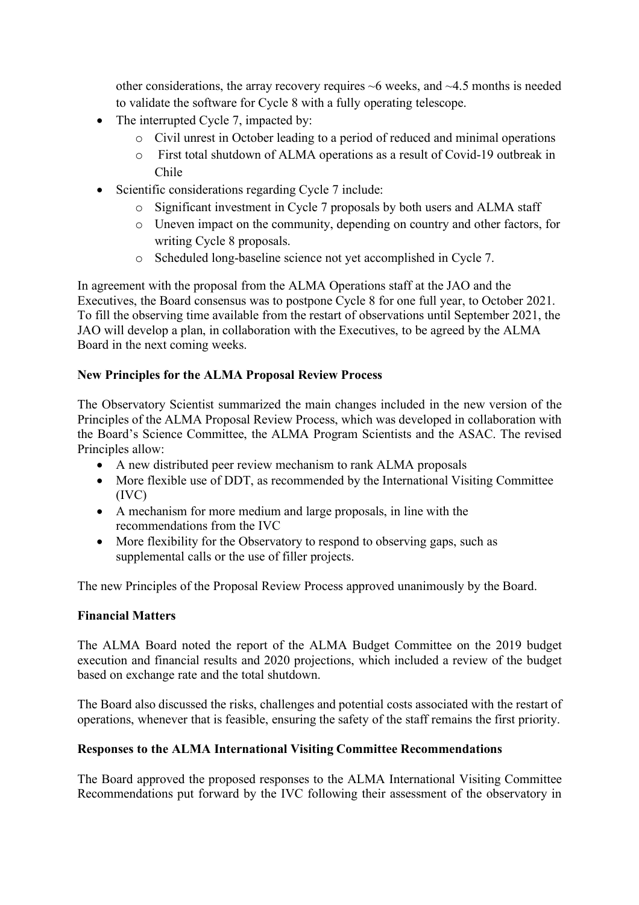other considerations, the array recovery requires  $\sim$ 6 weeks, and  $\sim$ 4.5 months is needed to validate the software for Cycle 8 with a fully operating telescope.

- The interrupted Cycle 7, impacted by:
	- o Civil unrest in October leading to a period of reduced and minimal operations
	- o First total shutdown of ALMA operations as a result of Covid-19 outbreak in Chile
- Scientific considerations regarding Cycle 7 include:
	- o Significant investment in Cycle 7 proposals by both users and ALMA staff
	- o Uneven impact on the community, depending on country and other factors, for writing Cycle 8 proposals.
	- o Scheduled long-baseline science not yet accomplished in Cycle 7.

In agreement with the proposal from the ALMA Operations staff at the JAO and the Executives, the Board consensus was to postpone Cycle 8 for one full year, to October 2021. To fill the observing time available from the restart of observations until September 2021, the JAO will develop a plan, in collaboration with the Executives, to be agreed by the ALMA Board in the next coming weeks.

## **New Principles for the ALMA Proposal Review Process**

The Observatory Scientist summarized the main changes included in the new version of the Principles of the ALMA Proposal Review Process, which was developed in collaboration with the Board's Science Committee, the ALMA Program Scientists and the ASAC. The revised Principles allow:

- A new distributed peer review mechanism to rank ALMA proposals
- More flexible use of DDT, as recommended by the International Visiting Committee (IVC)
- A mechanism for more medium and large proposals, in line with the recommendations from the IVC
- More flexibility for the Observatory to respond to observing gaps, such as supplemental calls or the use of filler projects.

The new Principles of the Proposal Review Process approved unanimously by the Board.

## **Financial Matters**

The ALMA Board noted the report of the ALMA Budget Committee on the 2019 budget execution and financial results and 2020 projections, which included a review of the budget based on exchange rate and the total shutdown.

The Board also discussed the risks, challenges and potential costs associated with the restart of operations, whenever that is feasible, ensuring the safety of the staff remains the first priority.

## **Responses to the ALMA International Visiting Committee Recommendations**

The Board approved the proposed responses to the ALMA International Visiting Committee Recommendations put forward by the IVC following their assessment of the observatory in